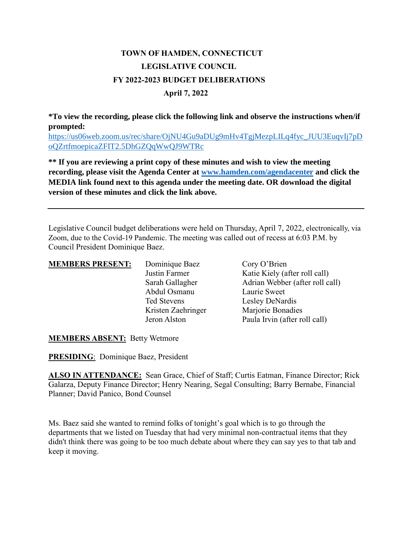# **TOWN OF HAMDEN, CONNECTICUT LEGISLATIVE COUNCIL FY 2022-2023 BUDGET DELIBERATIONS April 7, 2022**

**\*To view the recording, please click the following link and observe the instructions when/if prompted:**

[https://us06web.zoom.us/rec/share/OjNU4Gu9aDUg9mHv4TgjMezpLILq4fyc\\_JUU3EuqvIj7pD](https://us06web.zoom.us/rec/share/OjNU4Gu9aDUg9mHv4TgjMezpLILq4fyc_JUU3EuqvIj7pDoQZrtfmoepicaZFIT2.5DhGZQqWwQJ9WTRc) [oQZrtfmoepicaZFIT2.5DhGZQqWwQJ9WTRc](https://us06web.zoom.us/rec/share/OjNU4Gu9aDUg9mHv4TgjMezpLILq4fyc_JUU3EuqvIj7pDoQZrtfmoepicaZFIT2.5DhGZQqWwQJ9WTRc)

**\*\* If you are reviewing a print copy of these minutes and wish to view the meeting recording, please visit the Agenda Center at [www.hamden.com/agendacenter](http://www.hamden.com/agendacenter) and click the MEDIA link found next to this agenda under the meeting date. OR download the digital version of these minutes and click the link above.**

Legislative Council budget deliberations were held on Thursday, April 7, 2022, electronically, via Zoom, due to the Covid-19 Pandemic. The meeting was called out of recess at 6:03 P.M. by Council President Dominique Baez.

| <b>MEMBERS PRESENT:</b> | Dominique Baez     | Cory O'Brien                    |
|-------------------------|--------------------|---------------------------------|
|                         | Justin Farmer      | Katie Kiely (after roll call)   |
|                         | Sarah Gallagher    | Adrian Webber (after roll call) |
|                         | Abdul Osmanu       | Laurie Sweet                    |
|                         | <b>Ted Stevens</b> | Lesley DeNardis                 |
|                         | Kristen Zaehringer | Marjorie Bonadies               |
|                         | Jeron Alston       | Paula Irvin (after roll call)   |

**MEMBERS ABSENT:** Betty Wetmore

**PRESIDING**: Dominique Baez, President

**ALSO IN ATTENDANCE:** Sean Grace, Chief of Staff; Curtis Eatman, Finance Director; Rick Galarza, Deputy Finance Director; Henry Nearing, Segal Consulting; Barry Bernabe, Financial Planner; David Panico, Bond Counsel

Ms. Baez said she wanted to remind folks of tonight's goal which is to go through the departments that we listed on Tuesday that had very minimal non-contractual items that they didn't think there was going to be too much debate about where they can say yes to that tab and keep it moving.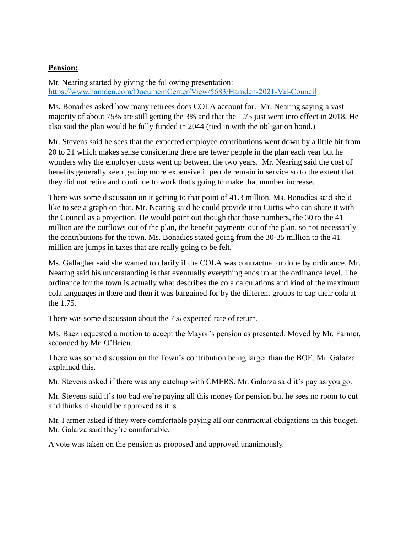## **Pension:**

Mr. Nearing started by giving the following presentation: <https://www.hamden.com/DocumentCenter/View/5683/Hamden-2021-Val-Council>

Ms. Bonadies asked how many retirees does COLA account for. Mr. Nearing saying a vast majority of about 75% are still getting the 3% and that the 1.75 just went into effect in 2018. He also said the plan would be fully funded in 2044 (tied in with the obligation bond.)

Mr. Stevens said he sees that the expected employee contributions went down by a little bit from 20 to 21 which makes sense considering there are fewer people in the plan each year but he wonders why the employer costs went up between the two years. Mr. Nearing said the cost of benefits generally keep getting more expensive if people remain in service so to the extent that they did not retire and continue to work that's going to make that number increase.

There was some discussion on it getting to that point of 41.3 million. Ms. Bonadies said she'd like to see a graph on that. Mr. Nearing said he could provide it to Curtis who can share it with the Council as a projection. He would point out though that those numbers, the 30 to the 41 million are the outflows out of the plan, the benefit payments out of the plan, so not necessarily the contributions for the town. Ms. Bonadies stated going from the 30-35 million to the 41 million are jumps in taxes that are really going to be felt.

Ms. Gallagher said she wanted to clarify if the COLA was contractual or done by ordinance. Mr. Nearing said his understanding is that eventually everything ends up at the ordinance level. The ordinance for the town is actually what describes the cola calculations and kind of the maximum cola languages in there and then it was bargained for by the different groups to cap their cola at the 1.75.

There was some discussion about the 7% expected rate of return.

Ms. Baez requested a motion to accept the Mayor's pension as presented. Moved by Mr. Farmer, seconded by Mr. O'Brien.

There was some discussion on the Town's contribution being larger than the BOE. Mr. Galarza explained this.

Mr. Stevens asked if there was any catchup with CMERS. Mr. Galarza said it's pay as you go.

Mr. Stevens said it's too bad we're paying all this money for pension but he sees no room to cut and thinks it should be approved as it is.

Mr. Farmer asked if they were comfortable paying all our contractual obligations in this budget. Mr. Galarza said they're comfortable.

A vote was taken on the pension as proposed and approved unanimously.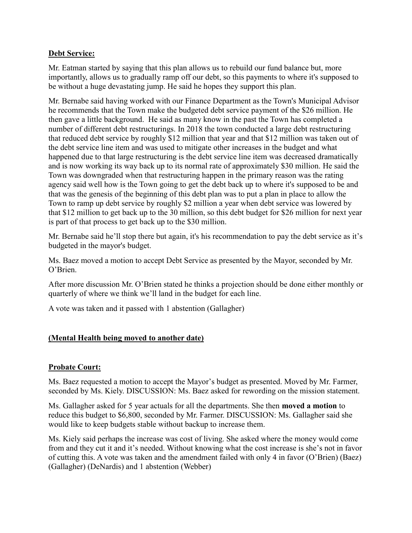## **Debt Service:**

Mr. Eatman started by saying that this plan allows us to rebuild our fund balance but, more importantly, allows us to gradually ramp off our debt, so this payments to where it's supposed to be without a huge devastating jump. He said he hopes they support this plan.

Mr. Bernabe said having worked with our Finance Department as the Town's Municipal Advisor he recommends that the Town make the budgeted debt service payment of the \$26 million. He then gave a little background. He said as many know in the past the Town has completed a number of different debt restructurings. In 2018 the town conducted a large debt restructuring that reduced debt service by roughly \$12 million that year and that \$12 million was taken out of the debt service line item and was used to mitigate other increases in the budget and what happened due to that large restructuring is the debt service line item was decreased dramatically and is now working its way back up to its normal rate of approximately \$30 million. He said the Town was downgraded when that restructuring happen in the primary reason was the rating agency said well how is the Town going to get the debt back up to where it's supposed to be and that was the genesis of the beginning of this debt plan was to put a plan in place to allow the Town to ramp up debt service by roughly \$2 million a year when debt service was lowered by that \$12 million to get back up to the 30 million, so this debt budget for \$26 million for next year is part of that process to get back up to the \$30 million.

Mr. Bernabe said he'll stop there but again, it's his recommendation to pay the debt service as it's budgeted in the mayor's budget.

Ms. Baez moved a motion to accept Debt Service as presented by the Mayor, seconded by Mr. O'Brien.

After more discussion Mr. O'Brien stated he thinks a projection should be done either monthly or quarterly of where we think we'll land in the budget for each line.

A vote was taken and it passed with 1 abstention (Gallagher)

## **(Mental Health being moved to another date)**

## **Probate Court:**

Ms. Baez requested a motion to accept the Mayor's budget as presented. Moved by Mr. Farmer, seconded by Ms. Kiely. DISCUSSION: Ms. Baez asked for rewording on the mission statement.

Ms. Gallagher asked for 5 year actuals for all the departments. She then **moved a motion** to reduce this budget to \$6,800, seconded by Mr. Farmer. DISCUSSION: Ms. Gallagher said she would like to keep budgets stable without backup to increase them.

Ms. Kiely said perhaps the increase was cost of living. She asked where the money would come from and they cut it and it's needed. Without knowing what the cost increase is she's not in favor of cutting this. A vote was taken and the amendment failed with only 4 in favor (O'Brien) (Baez) (Gallagher) (DeNardis) and 1 abstention (Webber)